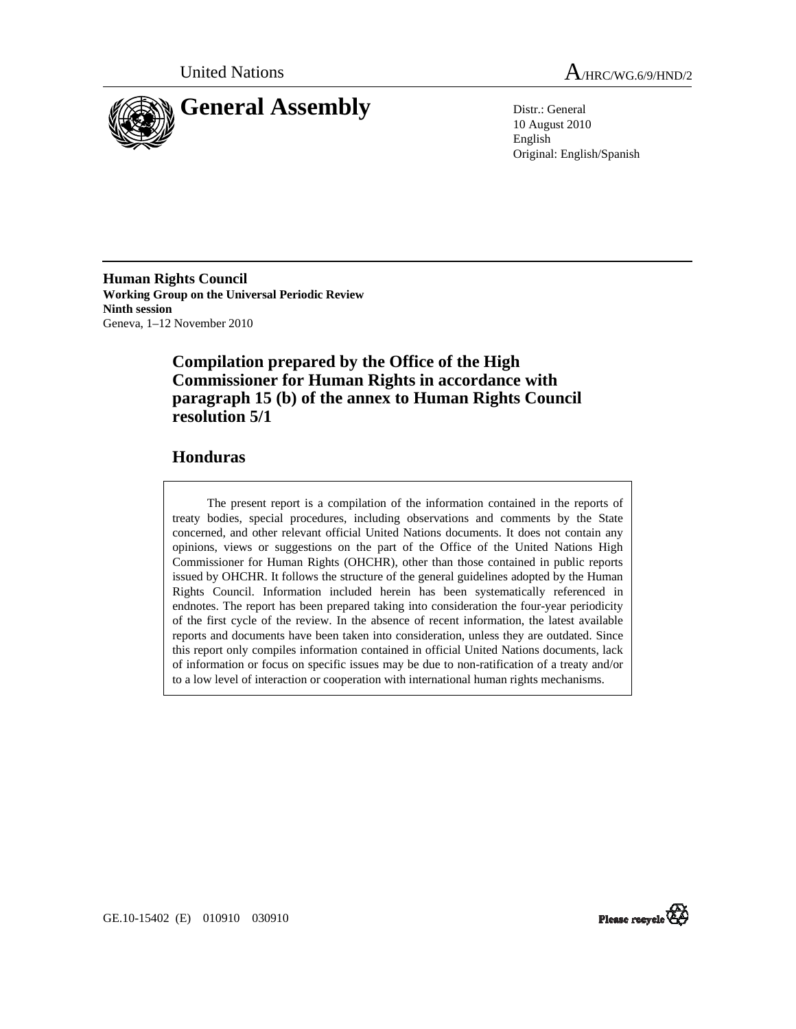



10 August 2010 English Original: English/Spanish

**Human Rights Council Working Group on the Universal Periodic Review Ninth session**  Geneva, 1–12 November 2010

> **Compilation prepared by the Office of the High Commissioner for Human Rights in accordance with paragraph 15 (b) of the annex to Human Rights Council resolution 5/1**

# **Honduras**

 The present report is a compilation of the information contained in the reports of treaty bodies, special procedures, including observations and comments by the State concerned, and other relevant official United Nations documents. It does not contain any opinions, views or suggestions on the part of the Office of the United Nations High Commissioner for Human Rights (OHCHR), other than those contained in public reports issued by OHCHR. It follows the structure of the general guidelines adopted by the Human Rights Council. Information included herein has been systematically referenced in endnotes. The report has been prepared taking into consideration the four-year periodicity of the first cycle of the review. In the absence of recent information, the latest available reports and documents have been taken into consideration, unless they are outdated. Since this report only compiles information contained in official United Nations documents, lack of information or focus on specific issues may be due to non-ratification of a treaty and/or to a low level of interaction or cooperation with international human rights mechanisms.



GE.10-15402 (E) 010910 030910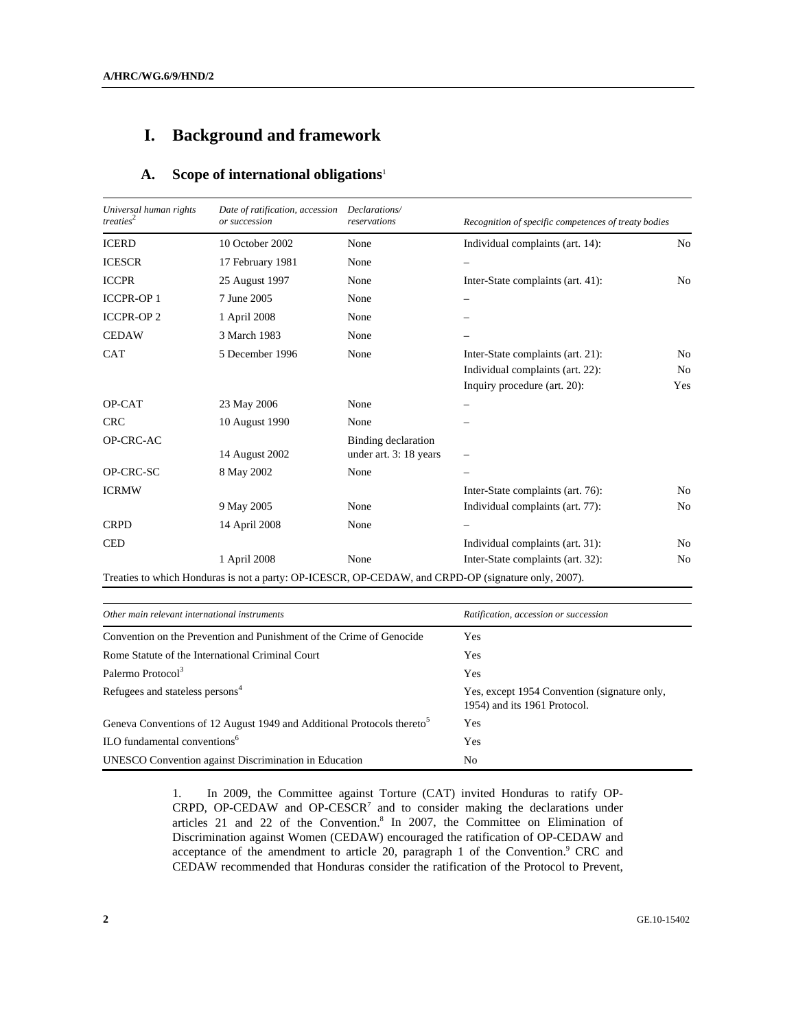# **I. Background and framework**

# **A. Scope of international obligations**<sup>1</sup>

| Universal human rights<br>treaties <sup>2</sup> | Date of ratification, accession<br>or succession | Declarations/<br>reservations                 | Recognition of specific competences of treaty bodies                                                |                |
|-------------------------------------------------|--------------------------------------------------|-----------------------------------------------|-----------------------------------------------------------------------------------------------------|----------------|
| <b>ICERD</b>                                    | 10 October 2002                                  | None                                          | Individual complaints (art. 14):                                                                    | N <sub>0</sub> |
| <b>ICESCR</b>                                   | 17 February 1981                                 | None                                          |                                                                                                     |                |
| <b>ICCPR</b>                                    | 25 August 1997                                   | None                                          | Inter-State complaints (art. 41):                                                                   | N <sub>0</sub> |
| <b>ICCPR-OP1</b>                                | 7 June 2005                                      | None                                          |                                                                                                     |                |
| <b>ICCPR-OP2</b>                                | 1 April 2008                                     | None                                          |                                                                                                     |                |
| <b>CEDAW</b>                                    | 3 March 1983                                     | None                                          |                                                                                                     |                |
| <b>CAT</b>                                      | 5 December 1996                                  | None                                          | Inter-State complaints (art. 21):                                                                   | N <sub>0</sub> |
|                                                 |                                                  |                                               | Individual complaints (art. 22):                                                                    | N <sub>0</sub> |
|                                                 |                                                  |                                               | Inquiry procedure (art. 20):                                                                        | Yes            |
| OP-CAT                                          | 23 May 2006                                      | None                                          |                                                                                                     |                |
| <b>CRC</b>                                      | 10 August 1990                                   | None                                          |                                                                                                     |                |
| OP-CRC-AC                                       | 14 August 2002                                   | Binding declaration<br>under art. 3: 18 years |                                                                                                     |                |
| OP-CRC-SC                                       | 8 May 2002                                       | None                                          |                                                                                                     |                |
| <b>ICRMW</b>                                    |                                                  |                                               | Inter-State complaints (art. 76):                                                                   | N <sub>0</sub> |
|                                                 | 9 May 2005                                       | None                                          | Individual complaints (art. 77):                                                                    | N <sub>0</sub> |
| <b>CRPD</b>                                     | 14 April 2008                                    | None                                          |                                                                                                     |                |
| <b>CED</b>                                      |                                                  |                                               | Individual complaints (art. 31):                                                                    | N <sub>0</sub> |
|                                                 | 1 April 2008                                     | None                                          | Inter-State complaints (art. 32):                                                                   | No             |
|                                                 |                                                  |                                               | Treaties to which Honduras is not a party: OP-ICESCR, OP-CEDAW, and CRPD-OP (signature only, 2007). |                |

| Other main relevant international instruments                                      | Ratification, accession or succession                                        |
|------------------------------------------------------------------------------------|------------------------------------------------------------------------------|
| Convention on the Prevention and Punishment of the Crime of Genocide               | Yes                                                                          |
| Rome Statute of the International Criminal Court                                   | Yes                                                                          |
| Palermo Protocol <sup>3</sup>                                                      | Yes                                                                          |
| Refugees and stateless persons <sup>4</sup>                                        | Yes, except 1954 Convention (signature only,<br>1954) and its 1961 Protocol. |
| Geneva Conventions of 12 August 1949 and Additional Protocols thereto <sup>5</sup> | Yes                                                                          |
| $\mathrm{ILO}$ fundamental conventions <sup>6</sup>                                | Yes                                                                          |
| UNESCO Convention against Discrimination in Education                              | No                                                                           |

1. In 2009, the Committee against Torture (CAT) invited Honduras to ratify OP- $CRPD$ , OP-CEDAW and OP-CESCR<sup>7</sup> and to consider making the declarations under articles 21 and 22 of the Convention.<sup>8</sup> In 2007, the Committee on Elimination of Discrimination against Women (CEDAW) encouraged the ratification of OP-CEDAW and acceptance of the amendment to article 20, paragraph 1 of the Convention.<sup>9</sup> CRC and CEDAW recommended that Honduras consider the ratification of the Protocol to Prevent,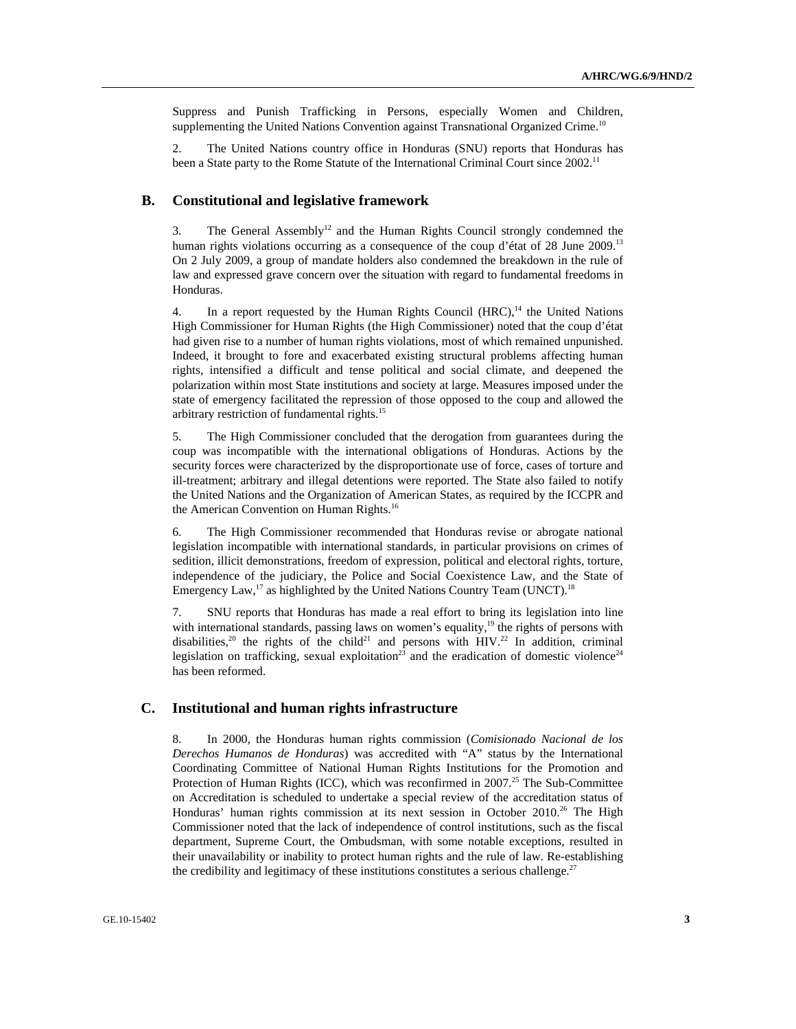Suppress and Punish Trafficking in Persons, especially Women and Children, supplementing the United Nations Convention against Transnational Organized Crime.<sup>10</sup>

2. The United Nations country office in Honduras (SNU) reports that Honduras has been a State party to the Rome Statute of the International Criminal Court since 2002.<sup>11</sup>

### **B. Constitutional and legislative framework**

3. The General Assembly<sup>12</sup> and the Human Rights Council strongly condemned the human rights violations occurring as a consequence of the coup d'état of 28 June 2009.<sup>13</sup> On 2 July 2009, a group of mandate holders also condemned the breakdown in the rule of law and expressed grave concern over the situation with regard to fundamental freedoms in Honduras.

4. In a report requested by the Human Rights Council  $(HRC)$ ,<sup>14</sup>, the United Nations High Commissioner for Human Rights (the High Commissioner) noted that the coup d'état had given rise to a number of human rights violations, most of which remained unpunished. Indeed, it brought to fore and exacerbated existing structural problems affecting human rights, intensified a difficult and tense political and social climate, and deepened the polarization within most State institutions and society at large. Measures imposed under the state of emergency facilitated the repression of those opposed to the coup and allowed the arbitrary restriction of fundamental rights.15

5. The High Commissioner concluded that the derogation from guarantees during the coup was incompatible with the international obligations of Honduras. Actions by the security forces were characterized by the disproportionate use of force, cases of torture and ill-treatment; arbitrary and illegal detentions were reported. The State also failed to notify the United Nations and the Organization of American States, as required by the ICCPR and the American Convention on Human Rights.<sup>16</sup>

6. The High Commissioner recommended that Honduras revise or abrogate national legislation incompatible with international standards, in particular provisions on crimes of sedition, illicit demonstrations, freedom of expression, political and electoral rights, torture, independence of the judiciary, the Police and Social Coexistence Law, and the State of Emergency Law,<sup>17</sup> as highlighted by the United Nations Country Team (UNCT).<sup>18</sup>

7. SNU reports that Honduras has made a real effort to bring its legislation into line with international standards, passing laws on women's equality, $19$  the rights of persons with disabilities,<sup>20</sup> the rights of the child<sup>21</sup> and persons with HIV.<sup>22</sup> In addition, criminal legislation on trafficking, sexual exploitation<sup>23</sup> and the eradication of domestic violence<sup>24</sup> has been reformed.

#### **C. Institutional and human rights infrastructure**

8. In 2000, the Honduras human rights commission (*Comisionado Nacional de los Derechos Humanos de Honduras*) was accredited with "A" status by the International Coordinating Committee of National Human Rights Institutions for the Promotion and Protection of Human Rights (ICC), which was reconfirmed in 2007.<sup>25</sup> The Sub-Committee on Accreditation is scheduled to undertake a special review of the accreditation status of Honduras' human rights commission at its next session in October 2010.<sup>26</sup> The High Commissioner noted that the lack of independence of control institutions, such as the fiscal department, Supreme Court, the Ombudsman, with some notable exceptions, resulted in their unavailability or inability to protect human rights and the rule of law. Re-establishing the credibility and legitimacy of these institutions constitutes a serious challenge.<sup>27</sup>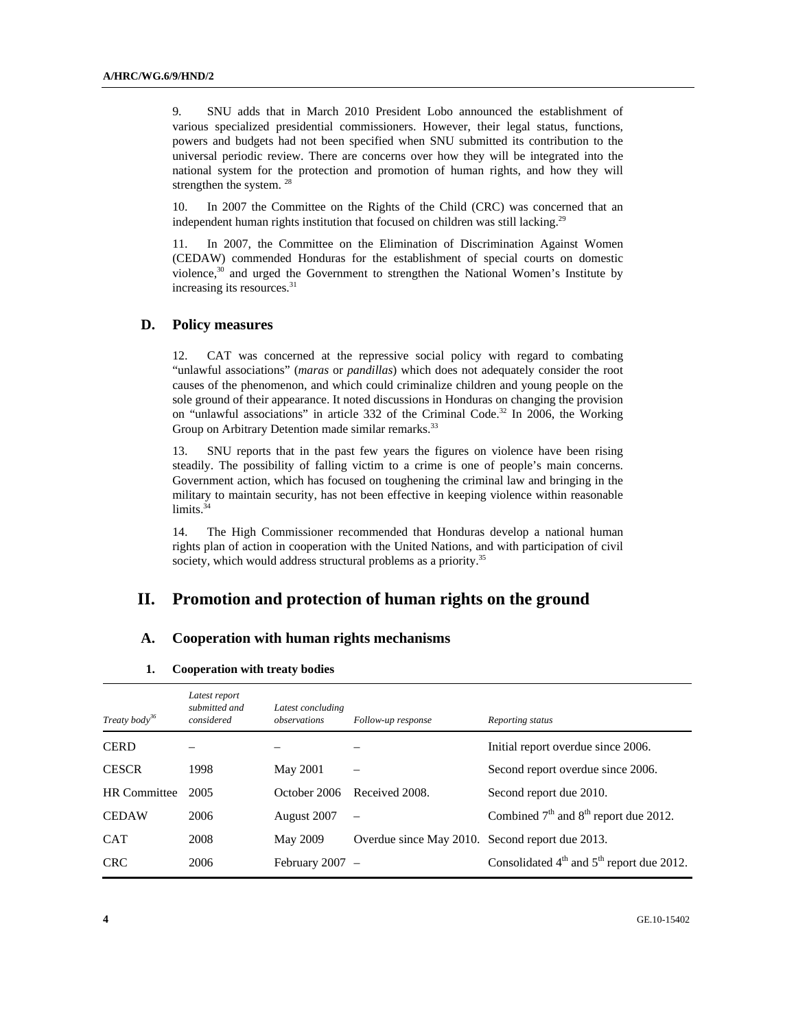9. SNU adds that in March 2010 President Lobo announced the establishment of various specialized presidential commissioners. However, their legal status, functions, powers and budgets had not been specified when SNU submitted its contribution to the universal periodic review. There are concerns over how they will be integrated into the national system for the protection and promotion of human rights, and how they will strengthen the system.<sup>28</sup>

10. In 2007 the Committee on the Rights of the Child (CRC) was concerned that an independent human rights institution that focused on children was still lacking.<sup>29</sup>

11. In 2007, the Committee on the Elimination of Discrimination Against Women (CEDAW) commended Honduras for the establishment of special courts on domestic violence, $30$  and urged the Government to strengthen the National Women's Institute by increasing its resources.<sup>31</sup>

## **D. Policy measures**

12. CAT was concerned at the repressive social policy with regard to combating "unlawful associations" (*maras* or *pandillas*) which does not adequately consider the root causes of the phenomenon, and which could criminalize children and young people on the sole ground of their appearance. It noted discussions in Honduras on changing the provision on "unlawful associations" in article 332 of the Criminal Code.<sup>32</sup> In 2006, the Working Group on Arbitrary Detention made similar remarks.<sup>33</sup>

13. SNU reports that in the past few years the figures on violence have been rising steadily. The possibility of falling victim to a crime is one of people's main concerns. Government action, which has focused on toughening the criminal law and bringing in the military to maintain security, has not been effective in keeping violence within reasonable limits.<sup>34</sup>

14. The High Commissioner recommended that Honduras develop a national human rights plan of action in cooperation with the United Nations, and with participation of civil society, which would address structural problems as a priority.<sup>35</sup>

## **II. Promotion and protection of human rights on the ground**

## **A. Cooperation with human rights mechanisms**

#### **1. Cooperation with treaty bodies**

| Treaty body <sup>36</sup> | Latest report<br>submitted and<br>considered | Latest concluding<br>observations | Follow-up response                              | Reporting status                              |
|---------------------------|----------------------------------------------|-----------------------------------|-------------------------------------------------|-----------------------------------------------|
| <b>CERD</b>               |                                              |                                   |                                                 | Initial report overdue since 2006.            |
| <b>CESCR</b>              | 1998                                         | May 2001                          | $\qquad \qquad \longleftarrow$                  | Second report overdue since 2006.             |
| <b>HR</b> Committee       | 2005                                         | October 2006                      | Received 2008.                                  | Second report due 2010.                       |
| <b>CEDAW</b>              | 2006                                         | August 2007                       | $\overline{\phantom{0}}$                        | Combined $7th$ and $8th$ report due 2012.     |
| <b>CAT</b>                | 2008                                         | <b>May 2009</b>                   | Overdue since May 2010. Second report due 2013. |                                               |
| <b>CRC</b>                | 2006                                         | February 2007                     |                                                 | Consolidated $4th$ and $5th$ report due 2012. |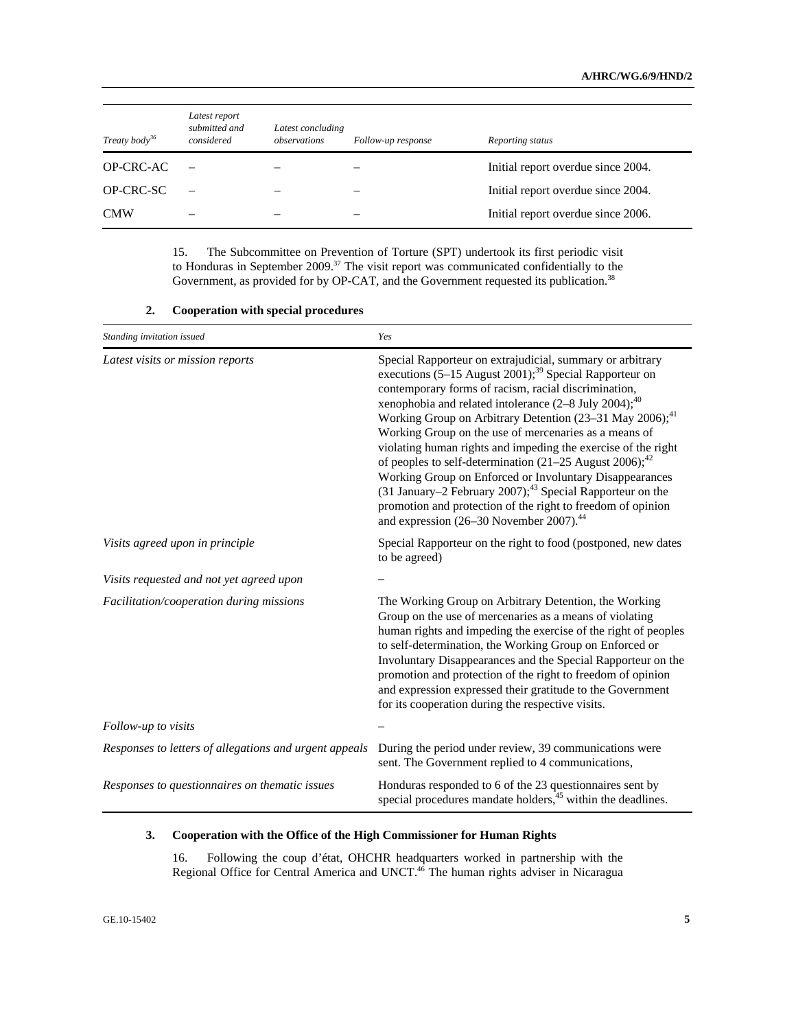| Treaty body <sup>36</sup> | Latest report<br>submitted and<br>considered | Latest concluding<br>observations | Follow-up response | Reporting status                   |
|---------------------------|----------------------------------------------|-----------------------------------|--------------------|------------------------------------|
| OP-CRC-AC                 |                                              |                                   |                    | Initial report overdue since 2004. |
| OP-CRC-SC                 |                                              |                                   |                    | Initial report overdue since 2004. |
| <b>CMW</b>                |                                              |                                   |                    | Initial report overdue since 2006. |

15. The Subcommittee on Prevention of Torture (SPT) undertook its first periodic visit to Honduras in September 2009.<sup>37</sup> The visit report was communicated confidentially to the Government, as provided for by OP-CAT, and the Government requested its publication.<sup>38</sup>

| Standing invitation issued                             | Yes                                                                                                                                                                                                                                                                                                                                                                                                                                                                                                                                                                                                                                                                                                                                                                                                                      |  |
|--------------------------------------------------------|--------------------------------------------------------------------------------------------------------------------------------------------------------------------------------------------------------------------------------------------------------------------------------------------------------------------------------------------------------------------------------------------------------------------------------------------------------------------------------------------------------------------------------------------------------------------------------------------------------------------------------------------------------------------------------------------------------------------------------------------------------------------------------------------------------------------------|--|
| Latest visits or mission reports                       | Special Rapporteur on extrajudicial, summary or arbitrary<br>executions (5-15 August 2001); <sup>39</sup> Special Rapporteur on<br>contemporary forms of racism, racial discrimination,<br>xenophobia and related intolerance $(2-8 \text{ July } 2004);^{40}$<br>Working Group on Arbitrary Detention $(23-31 \text{ May } 2006);$ <sup>41</sup><br>Working Group on the use of mercenaries as a means of<br>violating human rights and impeding the exercise of the right<br>of peoples to self-determination $(21-25 \text{ August } 2006)$ ; <sup>42</sup><br>Working Group on Enforced or Involuntary Disappearances<br>(31 January–2 February 2007); <sup>43</sup> Special Rapporteur on the<br>promotion and protection of the right to freedom of opinion<br>and expression (26–30 November 2007). <sup>44</sup> |  |
| Visits agreed upon in principle                        | Special Rapporteur on the right to food (postponed, new dates<br>to be agreed)                                                                                                                                                                                                                                                                                                                                                                                                                                                                                                                                                                                                                                                                                                                                           |  |
| Visits requested and not yet agreed upon               |                                                                                                                                                                                                                                                                                                                                                                                                                                                                                                                                                                                                                                                                                                                                                                                                                          |  |
| Facilitation/cooperation during missions               | The Working Group on Arbitrary Detention, the Working<br>Group on the use of mercenaries as a means of violating<br>human rights and impeding the exercise of the right of peoples<br>to self-determination, the Working Group on Enforced or<br>Involuntary Disappearances and the Special Rapporteur on the<br>promotion and protection of the right to freedom of opinion<br>and expression expressed their gratitude to the Government<br>for its cooperation during the respective visits.                                                                                                                                                                                                                                                                                                                          |  |
| Follow-up to visits                                    |                                                                                                                                                                                                                                                                                                                                                                                                                                                                                                                                                                                                                                                                                                                                                                                                                          |  |
| Responses to letters of allegations and urgent appeals | During the period under review, 39 communications were<br>sent. The Government replied to 4 communications,                                                                                                                                                                                                                                                                                                                                                                                                                                                                                                                                                                                                                                                                                                              |  |
| Responses to questionnaires on thematic issues         | Honduras responded to 6 of the 23 questionnaires sent by<br>special procedures mandate holders, <sup>45</sup> within the deadlines.                                                                                                                                                                                                                                                                                                                                                                                                                                                                                                                                                                                                                                                                                      |  |

#### **2. Cooperation with special procedures**

## **3. Cooperation with the Office of the High Commissioner for Human Rights**

16. Following the coup d'état, OHCHR headquarters worked in partnership with the Regional Office for Central America and UNCT.<sup>46</sup> The human rights adviser in Nicaragua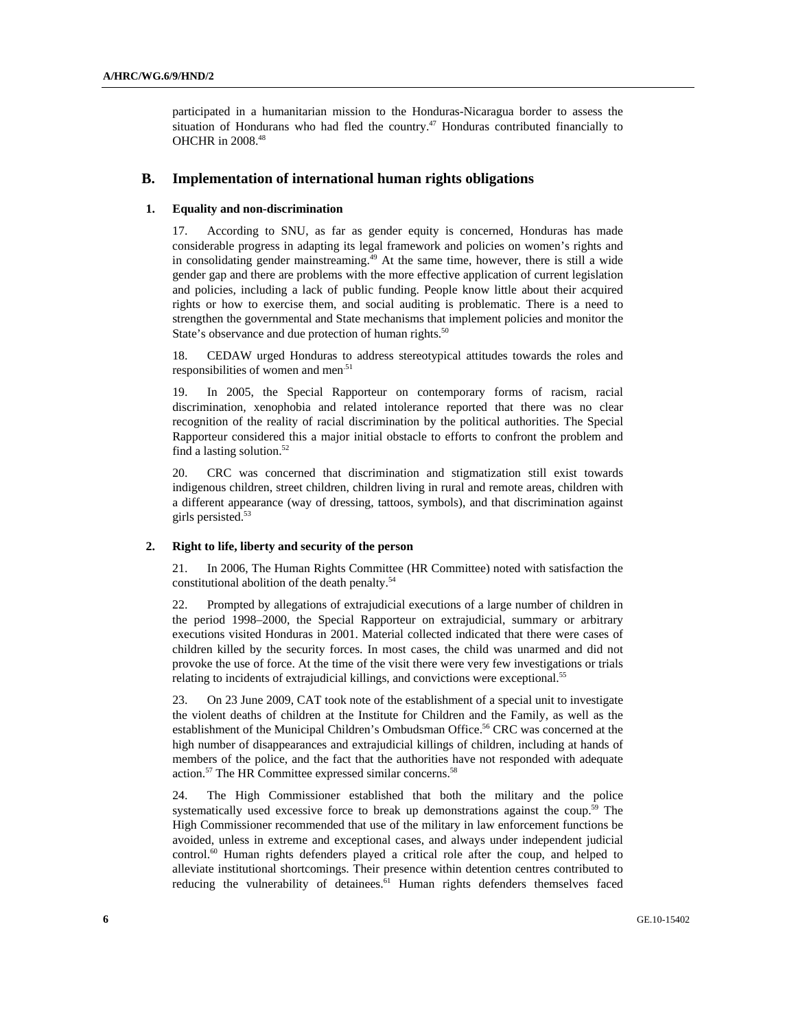participated in a humanitarian mission to the Honduras-Nicaragua border to assess the situation of Hondurans who had fled the country.<sup>47</sup> Honduras contributed financially to OHCHR in 2008.48

#### **B. Implementation of international human rights obligations**

#### **1. Equality and non-discrimination**

17. According to SNU, as far as gender equity is concerned, Honduras has made considerable progress in adapting its legal framework and policies on women's rights and in consolidating gender mainstreaming.<sup>49</sup> At the same time, however, there is still a wide gender gap and there are problems with the more effective application of current legislation and policies, including a lack of public funding. People know little about their acquired rights or how to exercise them, and social auditing is problematic. There is a need to strengthen the governmental and State mechanisms that implement policies and monitor the State's observance and due protection of human rights.<sup>50</sup>

18. CEDAW urged Honduras to address stereotypical attitudes towards the roles and responsibilities of women and men<sup>51</sup>

19. In 2005, the Special Rapporteur on contemporary forms of racism, racial discrimination, xenophobia and related intolerance reported that there was no clear recognition of the reality of racial discrimination by the political authorities. The Special Rapporteur considered this a major initial obstacle to efforts to confront the problem and find a lasting solution.<sup>52</sup>

20. CRC was concerned that discrimination and stigmatization still exist towards indigenous children, street children, children living in rural and remote areas, children with a different appearance (way of dressing, tattoos, symbols), and that discrimination against girls persisted. $53$ 

#### **2. Right to life, liberty and security of the person**

21. In 2006, The Human Rights Committee (HR Committee) noted with satisfaction the constitutional abolition of the death penalty.<sup>54</sup>

22. Prompted by allegations of extrajudicial executions of a large number of children in the period 1998–2000, the Special Rapporteur on extrajudicial, summary or arbitrary executions visited Honduras in 2001. Material collected indicated that there were cases of children killed by the security forces. In most cases, the child was unarmed and did not provoke the use of force. At the time of the visit there were very few investigations or trials relating to incidents of extrajudicial killings, and convictions were exceptional.<sup>55</sup>

23. On 23 June 2009, CAT took note of the establishment of a special unit to investigate the violent deaths of children at the Institute for Children and the Family, as well as the establishment of the Municipal Children's Ombudsman Office.<sup>56</sup> CRC was concerned at the high number of disappearances and extrajudicial killings of children, including at hands of members of the police, and the fact that the authorities have not responded with adequate action.<sup>57</sup> The HR Committee expressed similar concerns.<sup>58</sup>

24. The High Commissioner established that both the military and the police systematically used excessive force to break up demonstrations against the coup.<sup>59</sup> The High Commissioner recommended that use of the military in law enforcement functions be avoided, unless in extreme and exceptional cases, and always under independent judicial control.<sup>60</sup> Human rights defenders played a critical role after the coup, and helped to alleviate institutional shortcomings. Their presence within detention centres contributed to reducing the vulnerability of detainees.<sup>61</sup> Human rights defenders themselves faced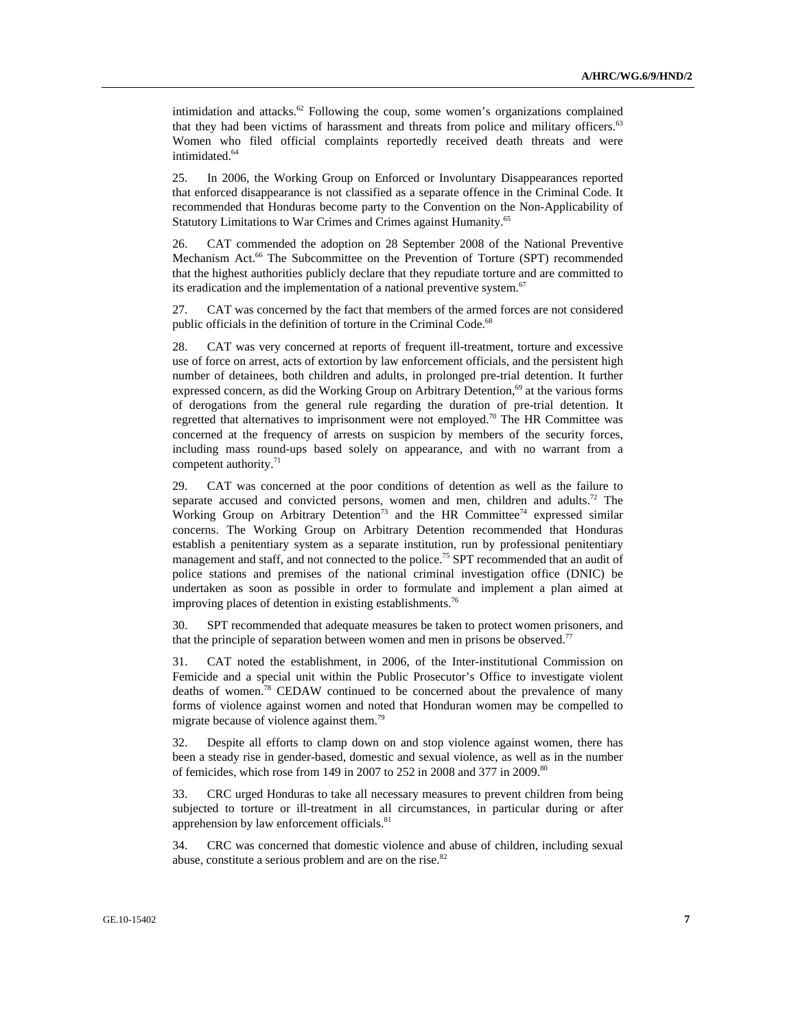intimidation and attacks. $62$  Following the coup, some women's organizations complained that they had been victims of harassment and threats from police and military officers.<sup>63</sup> Women who filed official complaints reportedly received death threats and were intimidated.<sup>64</sup>

25. In 2006, the Working Group on Enforced or Involuntary Disappearances reported that enforced disappearance is not classified as a separate offence in the Criminal Code. It recommended that Honduras become party to the Convention on the Non-Applicability of Statutory Limitations to War Crimes and Crimes against Humanity.<sup>65</sup>

26. CAT commended the adoption on 28 September 2008 of the National Preventive Mechanism Act.<sup>66</sup> The Subcommittee on the Prevention of Torture (SPT) recommended that the highest authorities publicly declare that they repudiate torture and are committed to its eradication and the implementation of a national preventive system. $67$ 

27. CAT was concerned by the fact that members of the armed forces are not considered public officials in the definition of torture in the Criminal Code.<sup>68</sup>

28. CAT was very concerned at reports of frequent ill-treatment, torture and excessive use of force on arrest, acts of extortion by law enforcement officials, and the persistent high number of detainees, both children and adults, in prolonged pre-trial detention. It further expressed concern, as did the Working Group on Arbitrary Detention,<sup>69</sup> at the various forms of derogations from the general rule regarding the duration of pre-trial detention. It regretted that alternatives to imprisonment were not employed.<sup>70</sup> The HR Committee was concerned at the frequency of arrests on suspicion by members of the security forces, including mass round-ups based solely on appearance, and with no warrant from a competent authority.<sup>71</sup>

29. CAT was concerned at the poor conditions of detention as well as the failure to separate accused and convicted persons, women and men, children and adults.<sup>72</sup> The Working Group on Arbitrary Detention<sup>73</sup> and the HR Committee<sup>74</sup> expressed similar concerns. The Working Group on Arbitrary Detention recommended that Honduras establish a penitentiary system as a separate institution, run by professional penitentiary management and staff, and not connected to the police.<sup>75</sup> SPT recommended that an audit of police stations and premises of the national criminal investigation office (DNIC) be undertaken as soon as possible in order to formulate and implement a plan aimed at improving places of detention in existing establishments.<sup>76</sup>

30. SPT recommended that adequate measures be taken to protect women prisoners, and that the principle of separation between women and men in prisons be observed.<sup>77</sup>

31. CAT noted the establishment, in 2006, of the Inter-institutional Commission on Femicide and a special unit within the Public Prosecutor's Office to investigate violent deaths of women.78 CEDAW continued to be concerned about the prevalence of many forms of violence against women and noted that Honduran women may be compelled to migrate because of violence against them.<sup>79</sup>

32. Despite all efforts to clamp down on and stop violence against women, there has been a steady rise in gender-based, domestic and sexual violence, as well as in the number of femicides, which rose from 149 in 2007 to 252 in 2008 and 377 in 2009.<sup>80</sup>

33. CRC urged Honduras to take all necessary measures to prevent children from being subjected to torture or ill-treatment in all circumstances, in particular during or after apprehension by law enforcement officials.<sup>81</sup>

34. CRC was concerned that domestic violence and abuse of children, including sexual abuse, constitute a serious problem and are on the rise.<sup>82</sup>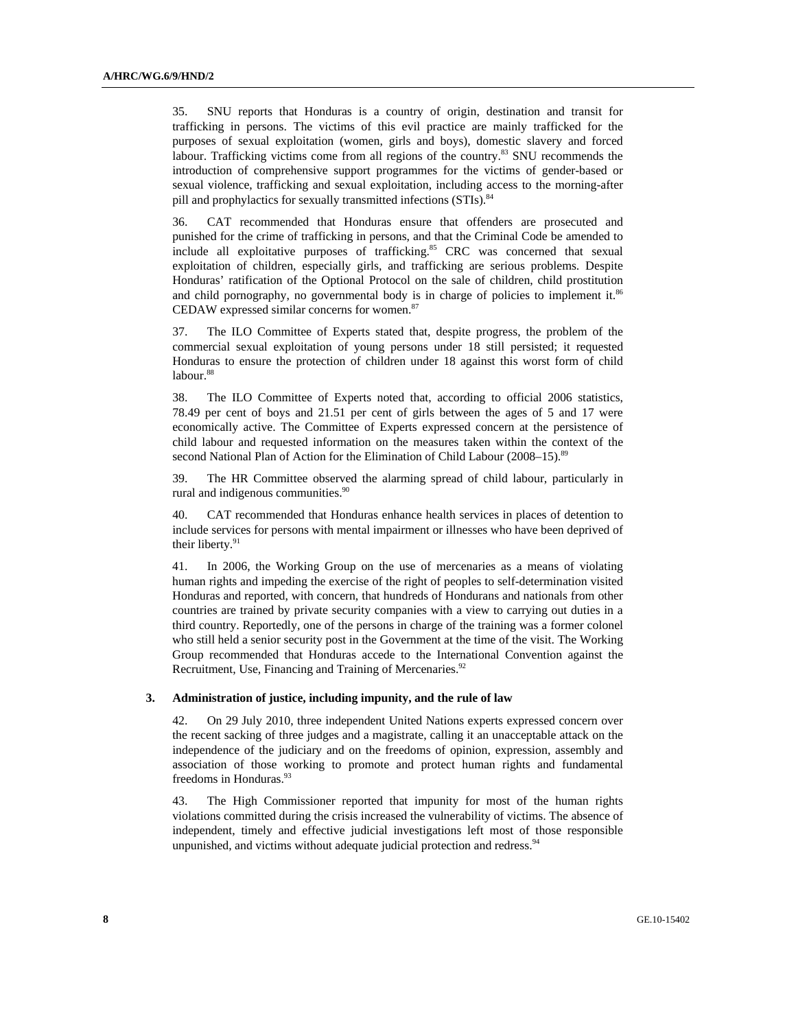35. SNU reports that Honduras is a country of origin, destination and transit for trafficking in persons. The victims of this evil practice are mainly trafficked for the purposes of sexual exploitation (women, girls and boys), domestic slavery and forced labour. Trafficking victims come from all regions of the country.<sup>83</sup> SNU recommends the introduction of comprehensive support programmes for the victims of gender-based or sexual violence, trafficking and sexual exploitation, including access to the morning-after pill and prophylactics for sexually transmitted infections (STIs).<sup>84</sup>

36. CAT recommended that Honduras ensure that offenders are prosecuted and punished for the crime of trafficking in persons, and that the Criminal Code be amended to include all exploitative purposes of trafficking.<sup>85</sup> CRC was concerned that sexual exploitation of children, especially girls, and trafficking are serious problems. Despite Honduras' ratification of the Optional Protocol on the sale of children, child prostitution and child pornography, no governmental body is in charge of policies to implement it.<sup>86</sup> CEDAW expressed similar concerns for women.<sup>87</sup>

37. The ILO Committee of Experts stated that, despite progress, the problem of the commercial sexual exploitation of young persons under 18 still persisted; it requested Honduras to ensure the protection of children under 18 against this worst form of child labour.<sup>88</sup>

38. The ILO Committee of Experts noted that, according to official 2006 statistics, 78.49 per cent of boys and 21.51 per cent of girls between the ages of 5 and 17 were economically active. The Committee of Experts expressed concern at the persistence of child labour and requested information on the measures taken within the context of the second National Plan of Action for the Elimination of Child Labour (2008–15).<sup>89</sup>

39. The HR Committee observed the alarming spread of child labour, particularly in rural and indigenous communities.<sup>90</sup>

40. CAT recommended that Honduras enhance health services in places of detention to include services for persons with mental impairment or illnesses who have been deprived of their liberty.<sup>91</sup>

41. In 2006, the Working Group on the use of mercenaries as a means of violating human rights and impeding the exercise of the right of peoples to self-determination visited Honduras and reported, with concern, that hundreds of Hondurans and nationals from other countries are trained by private security companies with a view to carrying out duties in a third country. Reportedly, one of the persons in charge of the training was a former colonel who still held a senior security post in the Government at the time of the visit. The Working Group recommended that Honduras accede to the International Convention against the Recruitment, Use, Financing and Training of Mercenaries.<sup>92</sup>

#### **3. Administration of justice, including impunity, and the rule of law**

42. On 29 July 2010, three independent United Nations experts expressed concern over the recent sacking of three judges and a magistrate, calling it an unacceptable attack on the independence of the judiciary and on the freedoms of opinion, expression, assembly and association of those working to promote and protect human rights and fundamental freedoms in Honduras.<sup>93</sup>

43. The High Commissioner reported that impunity for most of the human rights violations committed during the crisis increased the vulnerability of victims. The absence of independent, timely and effective judicial investigations left most of those responsible unpunished, and victims without adequate judicial protection and redress.<sup>94</sup>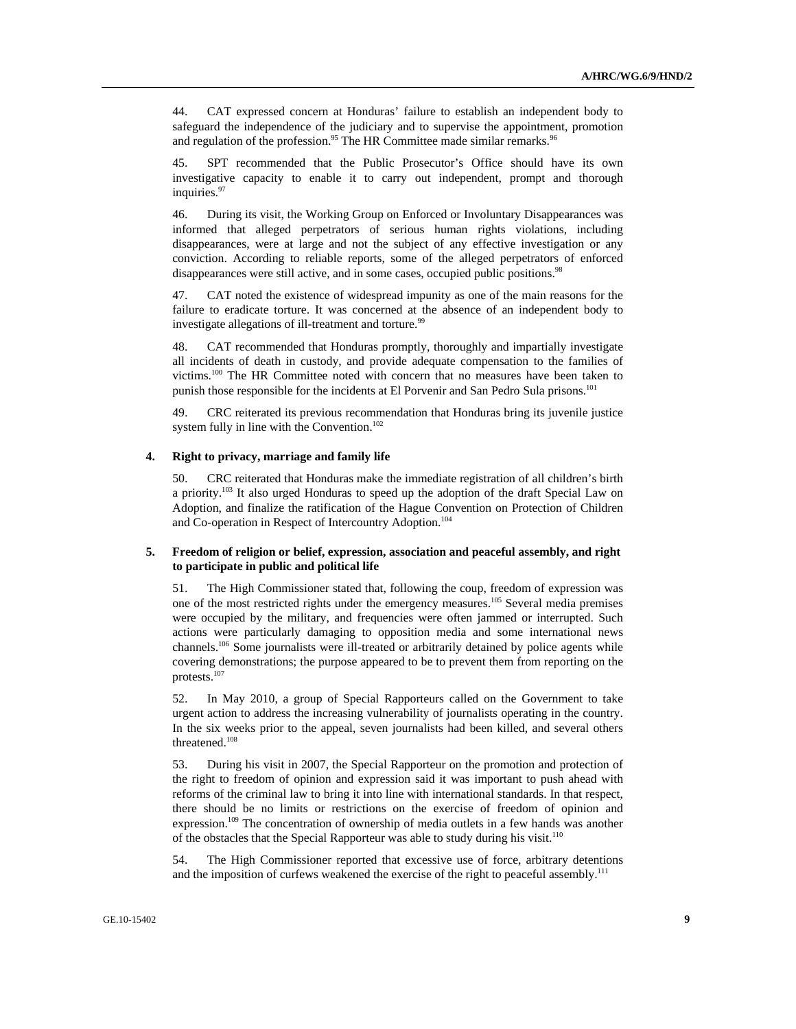44. CAT expressed concern at Honduras' failure to establish an independent body to safeguard the independence of the judiciary and to supervise the appointment, promotion and regulation of the profession.<sup>95</sup> The HR Committee made similar remarks.<sup>96</sup>

45. SPT recommended that the Public Prosecutor's Office should have its own investigative capacity to enable it to carry out independent, prompt and thorough inquiries.<sup>97</sup>

46. During its visit, the Working Group on Enforced or Involuntary Disappearances was informed that alleged perpetrators of serious human rights violations, including disappearances, were at large and not the subject of any effective investigation or any conviction. According to reliable reports, some of the alleged perpetrators of enforced disappearances were still active, and in some cases, occupied public positions.<sup>98</sup>

47. CAT noted the existence of widespread impunity as one of the main reasons for the failure to eradicate torture. It was concerned at the absence of an independent body to investigate allegations of ill-treatment and torture.<sup>99</sup>

48. CAT recommended that Honduras promptly, thoroughly and impartially investigate all incidents of death in custody, and provide adequate compensation to the families of victims.100 The HR Committee noted with concern that no measures have been taken to punish those responsible for the incidents at El Porvenir and San Pedro Sula prisons.<sup>101</sup>

49. CRC reiterated its previous recommendation that Honduras bring its juvenile justice system fully in line with the Convention.<sup>102</sup>

#### **4. Right to privacy, marriage and family life**

50. CRC reiterated that Honduras make the immediate registration of all children's birth a priority.<sup>103</sup> It also urged Honduras to speed up the adoption of the draft Special Law on Adoption, and finalize the ratification of the Hague Convention on Protection of Children and Co-operation in Respect of Intercountry Adoption.<sup>104</sup>

#### **5. Freedom of religion or belief, expression, association and peaceful assembly, and right to participate in public and political life**

51. The High Commissioner stated that, following the coup, freedom of expression was one of the most restricted rights under the emergency measures.<sup>105</sup> Several media premises were occupied by the military, and frequencies were often jammed or interrupted. Such actions were particularly damaging to opposition media and some international news channels.106 Some journalists were ill-treated or arbitrarily detained by police agents while covering demonstrations; the purpose appeared to be to prevent them from reporting on the protests.107

52. In May 2010, a group of Special Rapporteurs called on the Government to take urgent action to address the increasing vulnerability of journalists operating in the country. In the six weeks prior to the appeal, seven journalists had been killed, and several others threatened.108

53. During his visit in 2007, the Special Rapporteur on the promotion and protection of the right to freedom of opinion and expression said it was important to push ahead with reforms of the criminal law to bring it into line with international standards. In that respect, there should be no limits or restrictions on the exercise of freedom of opinion and expression.<sup>109</sup> The concentration of ownership of media outlets in a few hands was another of the obstacles that the Special Rapporteur was able to study during his visit.<sup>110</sup>

54. The High Commissioner reported that excessive use of force, arbitrary detentions and the imposition of curfews weakened the exercise of the right to peaceful assembly.<sup>111</sup>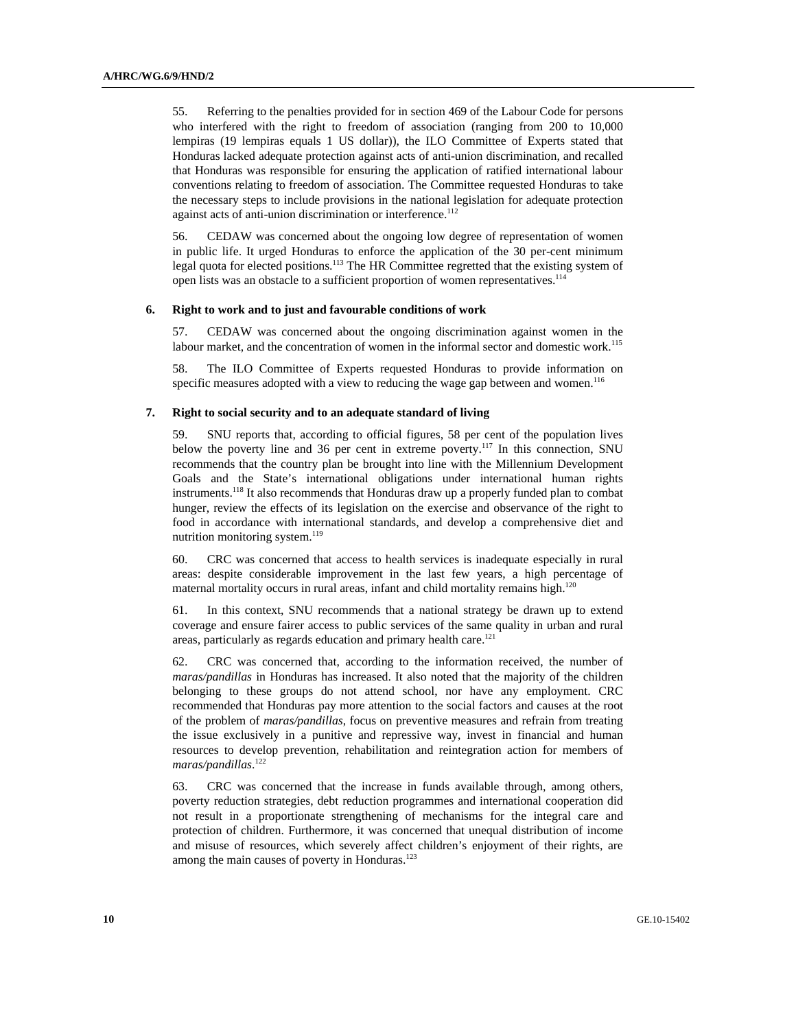55. Referring to the penalties provided for in section 469 of the Labour Code for persons who interfered with the right to freedom of association (ranging from 200 to 10,000 lempiras (19 lempiras equals 1 US dollar)), the ILO Committee of Experts stated that Honduras lacked adequate protection against acts of anti-union discrimination, and recalled that Honduras was responsible for ensuring the application of ratified international labour conventions relating to freedom of association. The Committee requested Honduras to take the necessary steps to include provisions in the national legislation for adequate protection against acts of anti-union discrimination or interference.<sup>112</sup>

56. CEDAW was concerned about the ongoing low degree of representation of women in public life. It urged Honduras to enforce the application of the 30 per-cent minimum legal quota for elected positions.<sup>113</sup> The HR Committee regretted that the existing system of open lists was an obstacle to a sufficient proportion of women representatives.<sup>114</sup>

#### **6. Right to work and to just and favourable conditions of work**

57. CEDAW was concerned about the ongoing discrimination against women in the labour market, and the concentration of women in the informal sector and domestic work.<sup>115</sup>

58. The ILO Committee of Experts requested Honduras to provide information on specific measures adopted with a view to reducing the wage gap between and women.<sup>116</sup>

#### **7. Right to social security and to an adequate standard of living**

59. SNU reports that, according to official figures, 58 per cent of the population lives below the poverty line and 36 per cent in extreme poverty.<sup>117</sup> In this connection, SNU recommends that the country plan be brought into line with the Millennium Development Goals and the State's international obligations under international human rights instruments.118 It also recommends that Honduras draw up a properly funded plan to combat hunger, review the effects of its legislation on the exercise and observance of the right to food in accordance with international standards, and develop a comprehensive diet and nutrition monitoring system.<sup>119</sup>

60. CRC was concerned that access to health services is inadequate especially in rural areas: despite considerable improvement in the last few years, a high percentage of maternal mortality occurs in rural areas, infant and child mortality remains high.<sup>120</sup>

61. In this context, SNU recommends that a national strategy be drawn up to extend coverage and ensure fairer access to public services of the same quality in urban and rural areas, particularly as regards education and primary health care.<sup>121</sup>

62. CRC was concerned that, according to the information received, the number of *maras/pandillas* in Honduras has increased. It also noted that the majority of the children belonging to these groups do not attend school, nor have any employment. CRC recommended that Honduras pay more attention to the social factors and causes at the root of the problem of *maras/pandillas*, focus on preventive measures and refrain from treating the issue exclusively in a punitive and repressive way, invest in financial and human resources to develop prevention, rehabilitation and reintegration action for members of *maras/pandillas*. 122

63. CRC was concerned that the increase in funds available through, among others, poverty reduction strategies, debt reduction programmes and international cooperation did not result in a proportionate strengthening of mechanisms for the integral care and protection of children. Furthermore, it was concerned that unequal distribution of income and misuse of resources, which severely affect children's enjoyment of their rights, are among the main causes of poverty in Honduras.<sup>123</sup>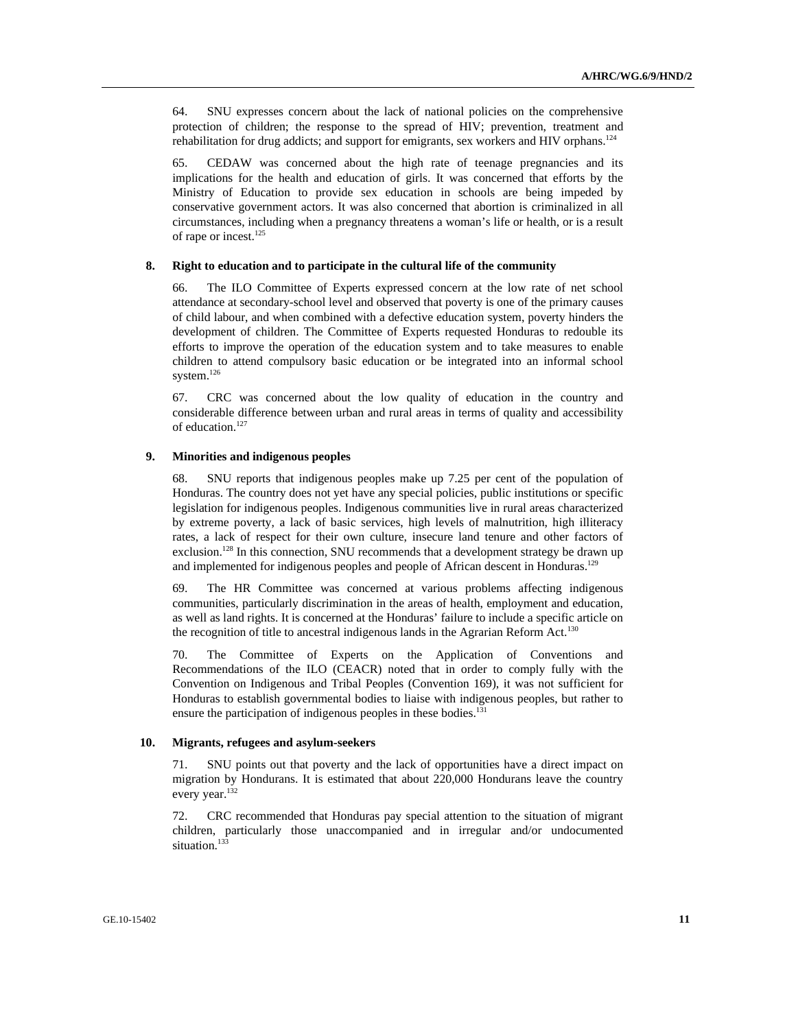64. SNU expresses concern about the lack of national policies on the comprehensive protection of children; the response to the spread of HIV; prevention, treatment and rehabilitation for drug addicts; and support for emigrants, sex workers and HIV orphans.<sup>124</sup>

65. CEDAW was concerned about the high rate of teenage pregnancies and its implications for the health and education of girls. It was concerned that efforts by the Ministry of Education to provide sex education in schools are being impeded by conservative government actors. It was also concerned that abortion is criminalized in all circumstances, including when a pregnancy threatens a woman's life or health, or is a result of rape or incest.<sup>125</sup>

#### **8. Right to education and to participate in the cultural life of the community**

66. The ILO Committee of Experts expressed concern at the low rate of net school attendance at secondary-school level and observed that poverty is one of the primary causes of child labour, and when combined with a defective education system, poverty hinders the development of children. The Committee of Experts requested Honduras to redouble its efforts to improve the operation of the education system and to take measures to enable children to attend compulsory basic education or be integrated into an informal school system.<sup>126</sup>

67. CRC was concerned about the low quality of education in the country and considerable difference between urban and rural areas in terms of quality and accessibility of education.<sup>127</sup>

## **9. Minorities and indigenous peoples**

68. SNU reports that indigenous peoples make up 7.25 per cent of the population of Honduras. The country does not yet have any special policies, public institutions or specific legislation for indigenous peoples. Indigenous communities live in rural areas characterized by extreme poverty, a lack of basic services, high levels of malnutrition, high illiteracy rates, a lack of respect for their own culture, insecure land tenure and other factors of exclusion.<sup>128</sup> In this connection, SNU recommends that a development strategy be drawn up and implemented for indigenous peoples and people of African descent in Honduras.<sup>129</sup>

69. The HR Committee was concerned at various problems affecting indigenous communities, particularly discrimination in the areas of health, employment and education, as well as land rights. It is concerned at the Honduras' failure to include a specific article on the recognition of title to ancestral indigenous lands in the Agrarian Reform Act.<sup>130</sup>

70. The Committee of Experts on the Application of Conventions and Recommendations of the ILO (CEACR) noted that in order to comply fully with the Convention on Indigenous and Tribal Peoples (Convention 169), it was not sufficient for Honduras to establish governmental bodies to liaise with indigenous peoples, but rather to ensure the participation of indigenous peoples in these bodies.<sup>131</sup>

#### **10. Migrants, refugees and asylum-seekers**

71. SNU points out that poverty and the lack of opportunities have a direct impact on migration by Hondurans. It is estimated that about 220,000 Hondurans leave the country every year.<sup>132</sup>

72. CRC recommended that Honduras pay special attention to the situation of migrant children, particularly those unaccompanied and in irregular and/or undocumented situation.<sup>133</sup>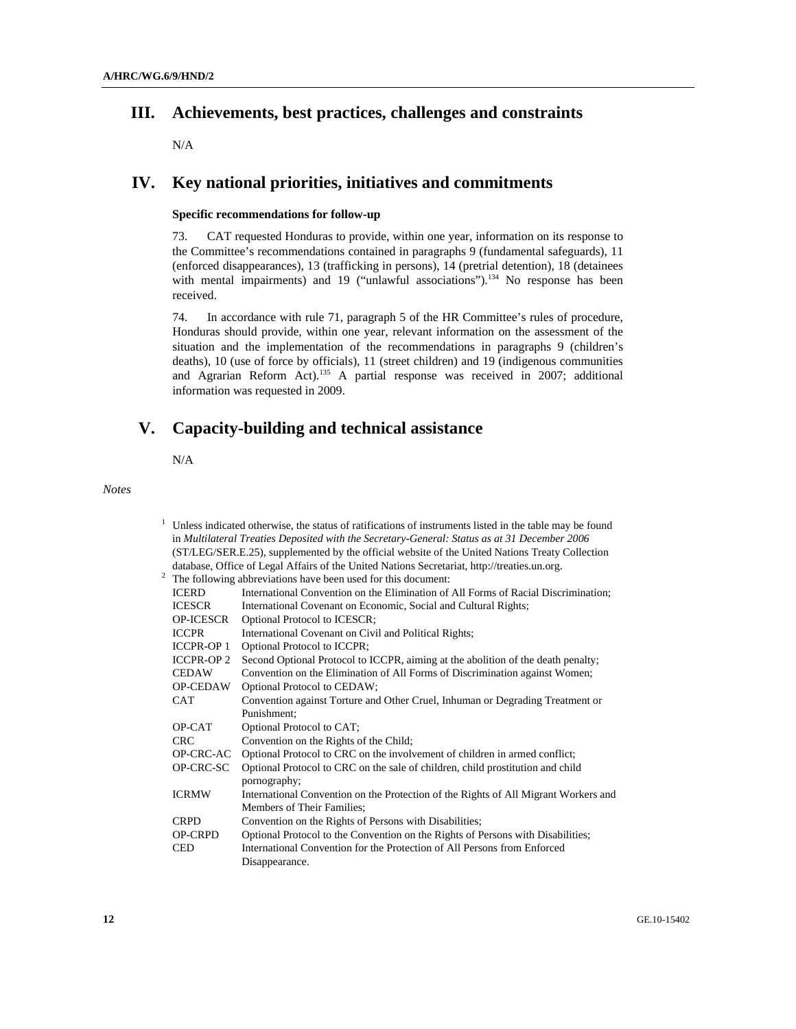# **III. Achievements, best practices, challenges and constraints**

N/A

## **IV. Key national priorities, initiatives and commitments**

## **Specific recommendations for follow-up**

73. CAT requested Honduras to provide, within one year, information on its response to the Committee's recommendations contained in paragraphs 9 (fundamental safeguards), 11 (enforced disappearances), 13 (trafficking in persons), 14 (pretrial detention), 18 (detainees with mental impairments) and 19 ("unlawful associations").<sup>134</sup> No response has been received.

74. In accordance with rule 71, paragraph 5 of the HR Committee's rules of procedure, Honduras should provide, within one year, relevant information on the assessment of the situation and the implementation of the recommendations in paragraphs 9 (children's deaths), 10 (use of force by officials), 11 (street children) and 19 (indigenous communities and Agrarian Reform Act).135 A partial response was received in 2007; additional information was requested in 2009.

# **V. Capacity-building and technical assistance**

N/A

*Notes* 

|                   | Unless indicated otherwise, the status of ratifications of instruments listed in the table may be found |
|-------------------|---------------------------------------------------------------------------------------------------------|
|                   |                                                                                                         |
|                   | in Multilateral Treaties Deposited with the Secretary-General: Status as at 31 December 2006            |
|                   | (ST/LEG/SER.E.25), supplemented by the official website of the United Nations Treaty Collection         |
|                   | database, Office of Legal Affairs of the United Nations Secretariat, http://treaties.un.org.            |
|                   | The following abbreviations have been used for this document:                                           |
| <b>ICERD</b>      | International Convention on the Elimination of All Forms of Racial Discrimination;                      |
| <b>ICESCR</b>     | International Covenant on Economic, Social and Cultural Rights;                                         |
| OP-ICESCR         | Optional Protocol to ICESCR;                                                                            |
| <b>ICCPR</b>      | International Covenant on Civil and Political Rights;                                                   |
| ICCPR-OP 1        | Optional Protocol to ICCPR;                                                                             |
| <b>ICCPR-OP 2</b> | Second Optional Protocol to ICCPR, aiming at the abolition of the death penalty;                        |
| <b>CEDAW</b>      | Convention on the Elimination of All Forms of Discrimination against Women;                             |
| OP-CEDAW          | Optional Protocol to CEDAW;                                                                             |
| CAT               | Convention against Torture and Other Cruel, Inhuman or Degrading Treatment or                           |
|                   | Punishment:                                                                                             |
| OP-CAT            | Optional Protocol to CAT;                                                                               |
| <b>CRC</b>        | Convention on the Rights of the Child;                                                                  |
| OP-CRC-AC         | Optional Protocol to CRC on the involvement of children in armed conflict;                              |
| OP-CRC-SC         | Optional Protocol to CRC on the sale of children, child prostitution and child                          |
|                   | pornography;                                                                                            |
| <b>ICRMW</b>      | International Convention on the Protection of the Rights of All Migrant Workers and                     |
|                   | Members of Their Families;                                                                              |
| <b>CRPD</b>       | Convention on the Rights of Persons with Disabilities;                                                  |
| OP-CRPD           | Optional Protocol to the Convention on the Rights of Persons with Disabilities;                         |
| <b>CED</b>        | International Convention for the Protection of All Persons from Enforced                                |
|                   | Disappearance.                                                                                          |
|                   |                                                                                                         |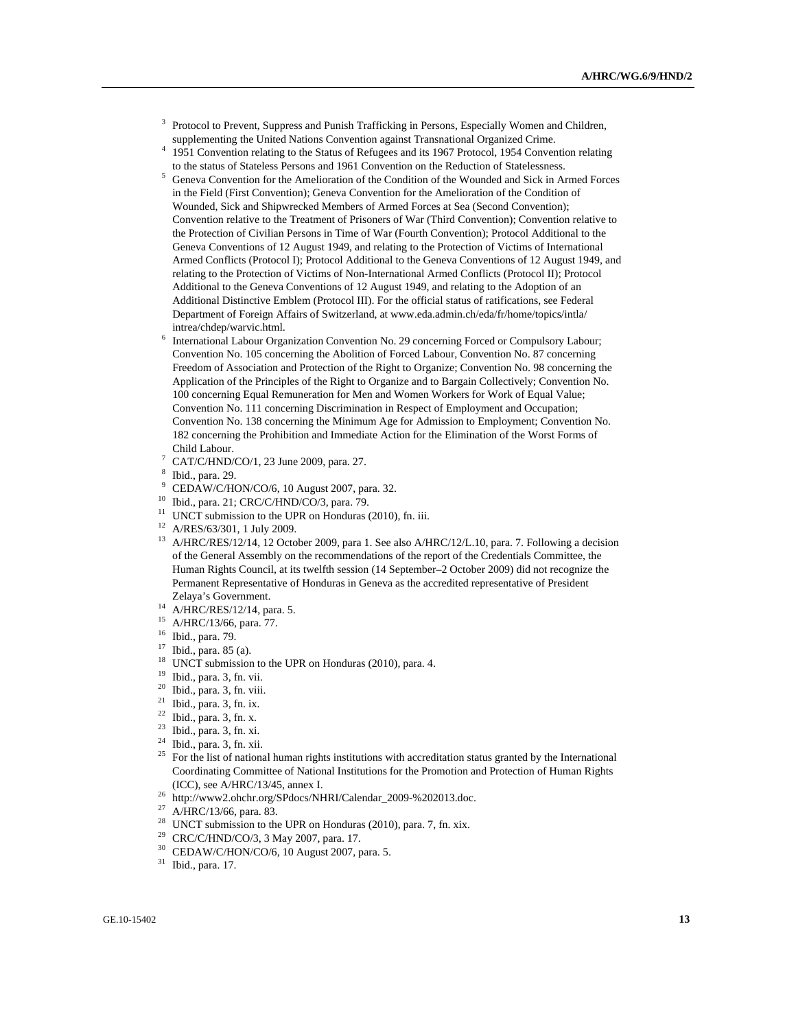- <sup>3</sup> Protocol to Prevent, Suppress and Punish Trafficking in Persons, Especially Women and Children, supplementing the United Nations Convention against Transnational Organized Crime. 4
- <sup>4</sup> 1951 Convention relating to the Status of Refugees and its 1967 Protocol, 1954 Convention relating to the status of Stateless Persons and 1961 Convention on the Reduction of Statelessness.
- <sup>5</sup> Geneva Convention for the Amelioration of the Condition of the Wounded and Sick in Armed Forces in the Field (First Convention); Geneva Convention for the Amelioration of the Condition of Wounded, Sick and Shipwrecked Members of Armed Forces at Sea (Second Convention); Convention relative to the Treatment of Prisoners of War (Third Convention); Convention relative to the Protection of Civilian Persons in Time of War (Fourth Convention); Protocol Additional to the Geneva Conventions of 12 August 1949, and relating to the Protection of Victims of International Armed Conflicts (Protocol I); Protocol Additional to the Geneva Conventions of 12 August 1949, and relating to the Protection of Victims of Non-International Armed Conflicts (Protocol II); Protocol Additional to the Geneva Conventions of 12 August 1949, and relating to the Adoption of an Additional Distinctive Emblem (Protocol III). For the official status of ratifications, see Federal Department of Foreign Affairs of Switzerland, at www.eda.admin.ch/eda/fr/home/topics/intla/ intrea/chdep/warvic.html.<br>
<sup>6</sup> International Labour Orga
- International Labour Organization Convention No. 29 concerning Forced or Compulsory Labour; Convention No. 105 concerning the Abolition of Forced Labour, Convention No. 87 concerning Freedom of Association and Protection of the Right to Organize; Convention No. 98 concerning the Application of the Principles of the Right to Organize and to Bargain Collectively; Convention No. 100 concerning Equal Remuneration for Men and Women Workers for Work of Equal Value; Convention No. 111 concerning Discrimination in Respect of Employment and Occupation; Convention No. 138 concerning the Minimum Age for Admission to Employment; Convention No. 182 concerning the Prohibition and Immediate Action for the Elimination of the Worst Forms of Child Labour.
- CAT/C/HND/CO/1, 23 June 2009, para. 27.
- 8 Ibid., para. 29.
- 9 CEDAW/C/HON/CO/6, 10 August 2007, para. 32.
- 10 Ibid., para. 21; CRC/C/HND/CO/3, para. 79.
- <sup>11</sup> UNCT submission to the UPR on Honduras (2010), fn. iii.
- 12 A/RES/63/301, 1 July 2009.
- <sup>13</sup> A/HRC/RES/12/14, 12 October 2009, para 1. See also A/HRC/12/L.10, para. 7. Following a decision of the General Assembly on the recommendations of the report of the Credentials Committee, the Human Rights Council, at its twelfth session (14 September–2 October 2009) did not recognize the Permanent Representative of Honduras in Geneva as the accredited representative of President
- Zelaya's Government. 14 A/HRC/RES/12/14, para. 5.
- 15 A/HRC/13/66, para. 77.
- 16 Ibid., para. 79.
- 17 Ibid., para. 85 (a).
- <sup>18</sup> UNCT submission to the UPR on Honduras (2010), para. 4.
- 19 Ibid., para. 3, fn. vii.
- $^{20}$  Ibid., para. 3, fn. viii.<br> $^{21}$  Ibid., para. 3, fn. iv.
- <sup>21</sup> Ibid., para. 3, fn. ix.<br><sup>22</sup> Ibid., para. 3, fn. x.
- $\frac{22}{23}$  Ibid., para. 3, fn. x.
- 23 Ibid., para. 3, fn. xi.
- $^{24}$  Ibid., para. 3, fn. xii.
- 25 For the list of national human rights institutions with accreditation status granted by the International Coordinating Committee of National Institutions for the Promotion and Protection of Human Rights
- (ICC), see A/HRC/13/45, annex I.<br><sup>26</sup> http://www2.ohchr.org/SPdocs/NHRI/Calendar\_2009-%202013.doc.<br><sup>27</sup> A/HPC/13/66 para. 82
- A/HRC/13/66, para. 83.
- <sup>28</sup> UNCT submission to the UPR on Honduras (2010), para. 7, fn. xix.
- 29 CRC/C/HND/CO/3, 3 May 2007, para. 17.
- 30 CEDAW/C/HON/CO/6, 10 August 2007, para. 5.
- 31 Ibid., para. 17.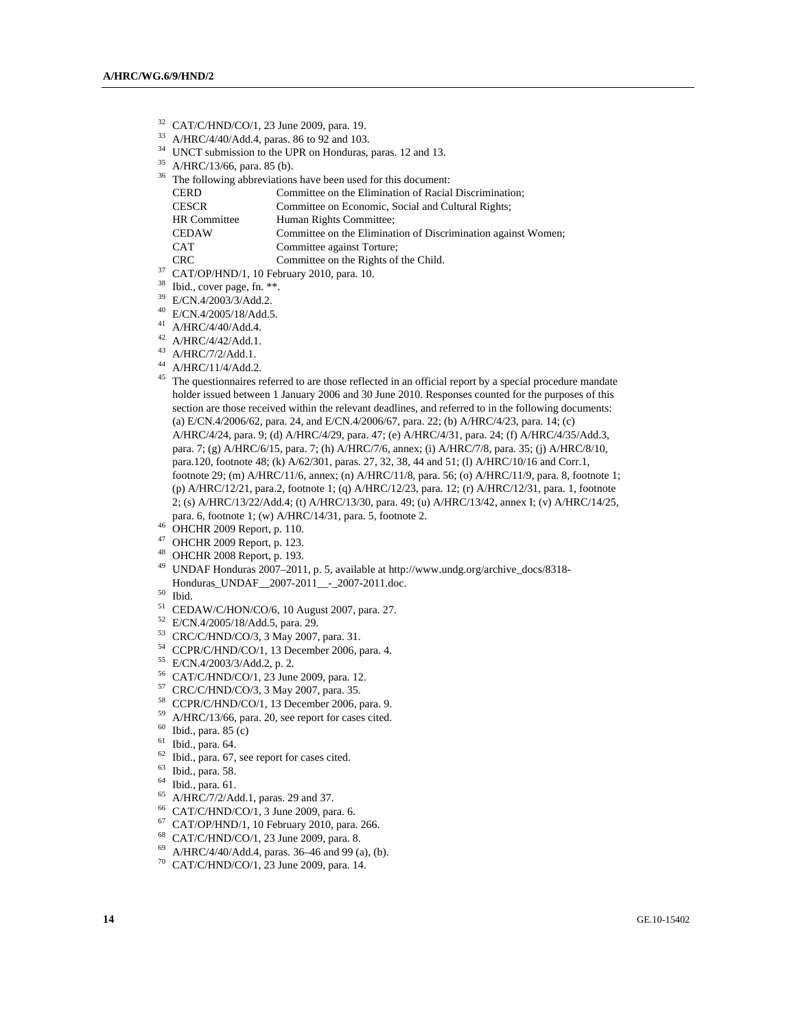- $^{32}$  CAT/C/HND/CO/1, 23 June 2009, para. 19.<br> $^{33}$  A/HRC/4/40/Add 4 paras 86 to 92 and 103
- 33 A/HRC/4/40/Add.4, paras. 86 to 92 and 103.
- <sup>34</sup> UNCT submission to the UPR on Honduras, paras. 12 and 13.
- 35 A/HRC/13/66, para. 85 (b).
- <sup>36</sup> The following abbreviations have been used for this document:

| <b>CERD</b>                                             | Committee on the Elimination of Racial Discrimination;        |
|---------------------------------------------------------|---------------------------------------------------------------|
| <b>CESCR</b>                                            | Committee on Economic, Social and Cultural Rights;            |
| HR Committee                                            | Human Rights Committee;                                       |
| <b>CEDAW</b>                                            | Committee on the Elimination of Discrimination against Women; |
| <b>CAT</b>                                              | Committee against Torture;                                    |
| CRC.                                                    | Committee on the Rights of the Child.                         |
| <sup>37</sup> CAT/OP/HND/1, 10 February 2010, para. 10. |                                                               |

- <sup>38</sup> Ibid., cover page, fn. \*\*.
- 39 E/CN.4/2003/3/Add.2.
- 
- 40 E/CN.4/2005/18/Add.5.
- 41 A/HRC/4/40/Add.4.
- 42 A/HRC/4/42/Add.1.
- 43 A/HRC/7/2/Add.1.
- 44 A/HRC/11/4/Add.2.
- <sup>45</sup> The questionnaires referred to are those reflected in an official report by a special procedure mandate holder issued between 1 January 2006 and 30 June 2010. Responses counted for the purposes of this section are those received within the relevant deadlines, and referred to in the following documents: (a) E/CN.4/2006/62, para. 24, and E/CN.4/2006/67, para. 22; (b) A/HRC/4/23, para. 14; (c) A/HRC/4/24, para. 9; (d) A/HRC/4/29, para. 47; (e) A/HRC/4/31, para. 24; (f) A/HRC/4/35/Add.3, para. 7; (g) A/HRC/6/15, para. 7; (h) A/HRC/7/6, annex; (i) A/HRC/7/8, para. 35; (j) A/HRC/8/10, para.120, footnote 48; (k) A/62/301, paras. 27, 32, 38, 44 and 51; (l) A/HRC/10/16 and Corr.1, footnote 29; (m) A/HRC/11/6, annex; (n) A/HRC/11/8, para. 56; (o) A/HRC/11/9, para. 8, footnote 1; (p) A/HRC/12/21, para.2, footnote 1; (q) A/HRC/12/23, para. 12; (r) A/HRC/12/31, para. 1, footnote 2; (s) A/HRC/13/22/Add.4; (t) A/HRC/13/30, para. 49; (u) A/HRC/13/42, annex I; (v) A/HRC/14/25, para. 6, footnote 1; (w) A/HRC/14/31, para. 5, footnote 2. 46 OHCHR 2009 Report, p. 110.
- 
- 47 OHCHR 2009 Report, p. 123.
- 48 OHCHR 2008 Report, p. 193.
- 49 UNDAF Honduras 2007–2011, p. 5, available at http://www.undg.org/archive\_docs/8318- Honduras\_UNDAF\_\_2007-2011\_\_-\_2007-2011.doc. 50 Ibid.
- 
- 51 CEDAW/C/HON/CO/6, 10 August 2007, para. 27.
- 52 E/CN.4/2005/18/Add.5, para. 29.
- 53 CRC/C/HND/CO/3, 3 May 2007, para. 31.
- 54 CCPR/C/HND/CO/1, 13 December 2006, para. 4.
- 55 E/CN.4/2003/3/Add.2, p. 2.
- 56 CAT/C/HND/CO/1, 23 June 2009, para. 12.
- 57 CRC/C/HND/CO/3, 3 May 2007, para. 35.
- 58 CCPR/C/HND/CO/1, 13 December 2006, para. 9.
- 59 A/HRC/13/66, para. 20, see report for cases cited.
- $60$  Ibid., para. 85 (c)
- 61 Ibid., para. 64.
- $62$  Ibid., para. 67, see report for cases cited.
- 63 Ibid., para. 58.
- 64 Ibid., para. 61.
- 65 A/HRC/7/2/Add.1, paras. 29 and 37.
- 66 CAT/C/HND/CO/1, 3 June 2009, para. 6.
- 67 CAT/OP/HND/1, 10 February 2010, para. 266.
- 68 CAT/C/HND/CO/1, 23 June 2009, para. 8.
- $^{69}$  A/HRC/4/40/Add.4, paras. 36–46 and 99 (a), (b).
- 70 CAT/C/HND/CO/1, 23 June 2009, para. 14.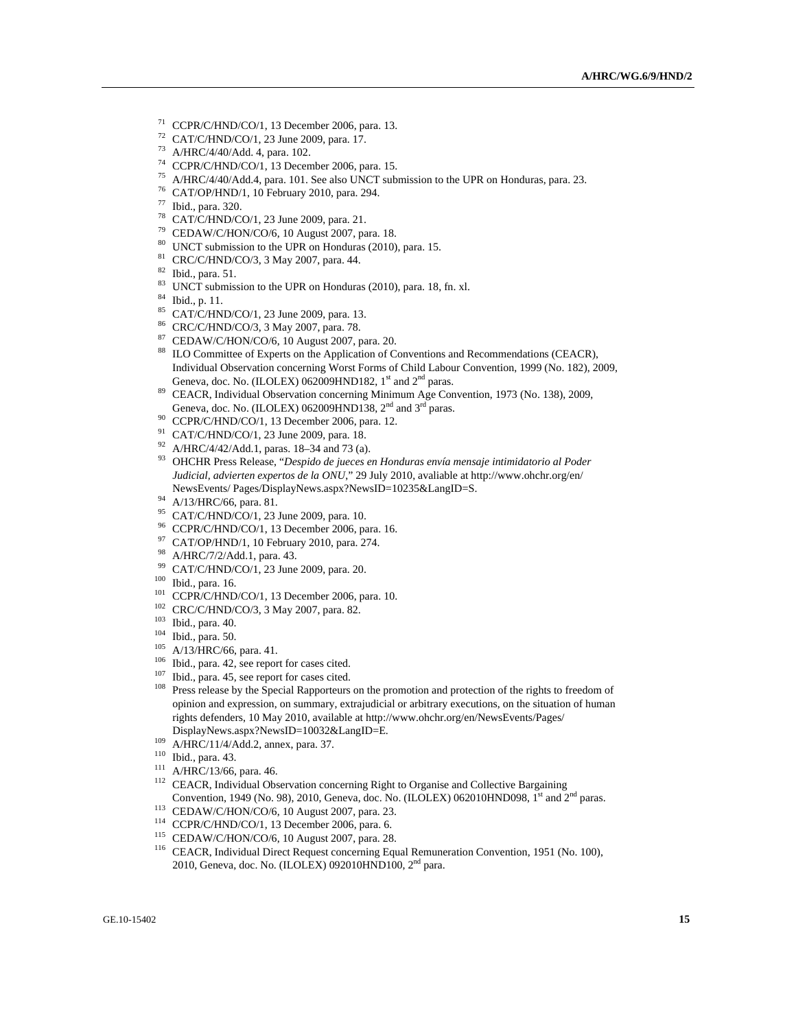- $71$  CCPR/C/HND/CO/1, 13 December 2006, para. 13.
- 72 CAT/C/HND/CO/1, 23 June 2009, para. 17.
- 73 A/HRC/4/40/Add. 4, para. 102.
- 74 CCPR/C/HND/CO/1, 13 December 2006, para. 15.
- <sup>75</sup> A/HRC/4/40/Add.4, para. 101. See also UNCT submission to the UPR on Honduras, para. 23.<br><sup>76</sup> CAT/OP/HND/1, 10 February 2010, para. 294.
- 
- 77 Ibid., para. 320.
- 78 CAT/C/HND/CO/1, 23 June 2009, para. 21.
- 79 CEDAW/C/HON/CO/6, 10 August 2007, para. 18.
- 80 UNCT submission to the UPR on Honduras (2010), para. 15.
- 81 CRC/C/HND/CO/3, 3 May 2007, para. 44.
- 82 Ibid., para. 51.
- <sup>83</sup> UNCT submission to the UPR on Honduras (2010), para. 18, fn. xl.
- 84 Ibid., p. 11.
- 85 CAT/C/HND/CO/1, 23 June 2009, para. 13.
- 86 CRC/C/HND/CO/3, 3 May 2007, para. 78.
- 87 CEDAW/C/HON/CO/6, 10 August 2007, para. 20.
- <sup>88</sup> ILO Committee of Experts on the Application of Conventions and Recommendations (CEACR), Individual Observation concerning Worst Forms of Child Labour Convention, 1999 (No. 182), 2009,
- Geneva, doc. No. (ILOLEX) 062009HND182, 1<sup>st</sup> and 2<sup>nd</sup> paras.<br><sup>89</sup> CEACR, Individual Observation concerning Minimum Age Convention, 1973 (No. 138), 2009, Geneva, doc. No. (ILOLEX) 062009HND138, 2<sup>nd</sup> and 3<sup>rd</sup> paras.
- $90$  CCPR/C/HND/CO/1, 13 December 2006, para. 12.
- 91 CAT/C/HND/CO/1, 23 June 2009, para. 18.
- 92 A/HRC/4/42/Add.1, paras. 18–34 and 73 (a).
- 93 OHCHR Press Release, "*Despido de jueces en Honduras envía mensaje intimidatorio al Poder Judicial, advierten expertos de la ONU*," 29 July 2010, avaliable at http://www.ohchr.org/en/ NewsEvents/ Pages/DisplayNews.aspx?NewsID=10235&LangID=S. 94 A/13/HRC/66, para. 81.
- 
- 95 CAT/C/HND/CO/1, 23 June 2009, para. 10.
- 96 CCPR/C/HND/CO/1, 13 December 2006, para. 16.
- 97 CAT/OP/HND/1, 10 February 2010, para. 274.
- 
- % A/HRC/7/2/Add.1, para. 43.<br>
99 CAT/C/HND/CO/1, 23 June 2009, para. 20.
- 
- 
- 
- 
- 
- 
- 
- 
- <sup>100</sup> Ibid., para. 16.<br>
<sup>101</sup> CCPR/C/HND/CO/1, 13 December 2006, para. 10.<br>
<sup>102</sup> CRC/C/HND/CO/3, 3 May 2007, para. 82.<br>
<sup>103</sup> Ibid., para. 40.<br>
<sup>104</sup> Ibid., para. 50.<br>
<sup>105</sup> A/13/HRC/66, para. 41.<br>
<sup>106</sup> Ibid., para. 42, opinion and expression, on summary, extrajudicial or arbitrary executions, on the situation of human rights defenders, 10 May 2010, available at http://www.ohchr.org/en/NewsEvents/Pages/ DisplayNews.aspx?NewsID=10032&LangID=E.<br><sup>109</sup> A/HRC/11/4/Add.2, annex, para. 37.<br><sup>110</sup> Ibid., para. 43.<br><sup>111</sup> A/HRC/13/66, para. 46.<br><sup>112</sup> CEACR, Individual Observation concerning Right to Organise and Collective Bargainin
- 
- 
- 
- Convention, 1949 (No. 98), 2010, Geneva, doc. No. (ILOLEX) 062010HND098, 1<sup>st</sup> and 2<sup>nd</sup> paras.<br>
<sup>113</sup> CEDAW/C/HON/CO/6, 10 August 2007, para. 23.<br>
<sup>114</sup> CCPR/C/HND/CO/1, 13 December 2006, para. 6.<br>
<sup>115</sup> CEDAW/C/HON/CO/6,
- 
- 
- 
- 2010, Geneva, doc. No. (ILOLEX) 092010HND100, 2<sup>nd</sup> para.